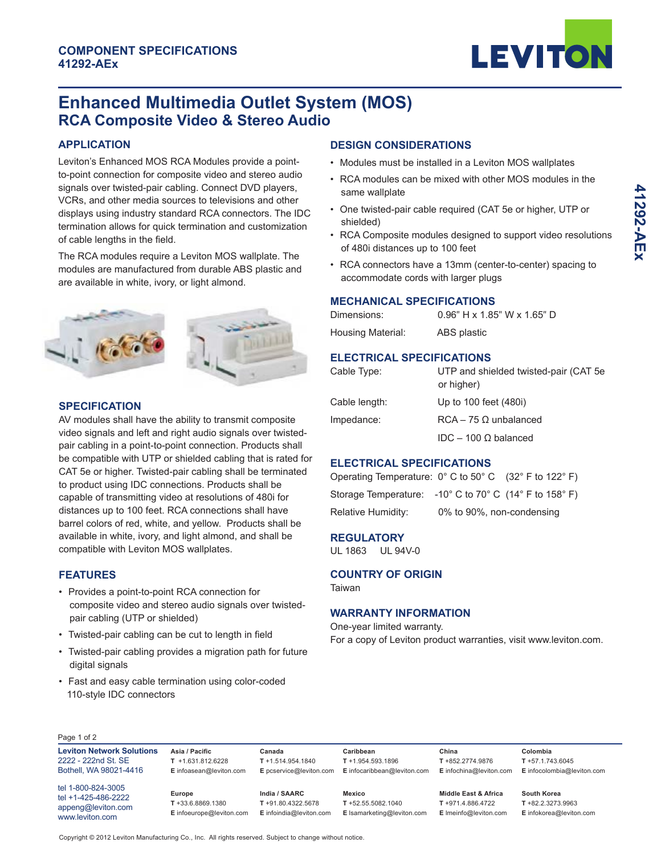

# **Enhanced Multimedia Outlet System (MOS) RCA Composite Video & Stereo Audio**

### **APPLICATION**

Leviton's Enhanced MOS RCA Modules provide a pointto-point connection for composite video and stereo audio signals over twisted-pair cabling. Connect DVD players, VCRs, and other media sources to televisions and other displays using industry standard RCA connectors. The IDC termination allows for quick termination and customization of cable lengths in the field.

The RCA modules require a Leviton MOS wallplate. The modules are manufactured from durable ABS plastic and are available in white, ivory, or light almond.

# **SPECIFICATION**

AV modules shall have the ability to transmit composite video signals and left and right audio signals over twistedpair cabling in a point-to-point connection. Products shall be compatible with UTP or shielded cabling that is rated for CAT 5e or higher. Twisted-pair cabling shall be terminated to product using IDC connections. Products shall be capable of transmitting video at resolutions of 480i for distances up to 100 feet. RCA connections shall have barrel colors of red, white, and yellow. Products shall be available in white, ivory, and light almond, and shall be compatible with Leviton MOS wallplates.

#### **FEATURES**

- Provides a point-to-point RCA connection for composite video and stereo audio signals over twisted pair cabling (UTP or shielded)
- Twisted-pair cabling can be cut to length in field
- Twisted-pair cabling provides a migration path for future digital signals
- Fast and easy cable termination using color-coded 110-style IDC connectors

# **DESIGN CONSIDERATIONS**

- Modules must be installed in a Leviton MOS wallplates
- RCA modules can be mixed with other MOS modules in the same wallplate
- One twisted-pair cable required (CAT 5e or higher, UTP or shielded)
- RCA Composite modules designed to support video resolutions of 480i distances up to 100 feet
- RCA connectors have a 13mm (center-to-center) spacing to accommodate cords with larger plugs

#### **MECHANICAL SPECIFICATIONS**

| Dimensions:       | $0.96"$ H x 1.85" W x 1.65" D |
|-------------------|-------------------------------|
| Housing Material: | ABS plastic                   |
|                   |                               |

#### **ELECTRICAL SPECIFICATIONS**

| Cable Type:   | UTP and shielded twisted-pair (CAT 5e)<br>or higher) |
|---------------|------------------------------------------------------|
| Cable length: | Up to 100 feet (480i)                                |
| Impedance:    | $RCA - 75 \Omega$ unbalanced                         |
|               | IDC – 100 Ω balanced                                 |

# **ELECTRICAL SPECIFICATIONS**

| Operating Temperature: $0^{\circ}$ C to 50 $^{\circ}$ C (32 $^{\circ}$ F to 122 $^{\circ}$ F) |                           |  |
|-----------------------------------------------------------------------------------------------|---------------------------|--|
| Storage Temperature: $-10^{\circ}$ C to 70° C (14° F to 158° F)                               |                           |  |
| Relative Humidity:                                                                            | 0% to 90%, non-condensing |  |

#### **REGULATORY**

UL 1863 UL 94V-0

### **COUNTRY OF ORIGIN**

Taiwan

#### **WARRANTY INFORMATION**

One-year limited warranty. For a copy of Leviton product warranties, visit www.leviton.com.

**Leviton Network Solutions** 2222 - 222nd St. SE Bothell, WA 98021-4416

tel 1-800-824-3005 tel +1-425-486-2222 appeng@leviton.com www.leviton.com

**Europe T** +33.6.8869.1380 **E** infoeurope@leviton.com

**Asia / Pacific T** +1.631.812.6228 **E** infoasean@leviton.com

> **India / SAARC T** +91.80.4322.5678

> > **E** infoindia@leviton.com

**Canada T** +1.514.954.1840

**E** pcservice@leviton.com **E** infocaribbean@leviton.com **Caribbean T** +1.954.593.1896

> **T** +52.55.5082.1040 **E** lsamarketing@leviton.com

**Mexico**

**China T** +852.2774.9876

**Middle East & Africa T** +971.4.886.4722 **E** lmeinfo@leviton.com

**E** infochina@leviton.com **E** infocolombia@leviton.com **Colombia T** +57.1.743.6045

> **South Korea T** +82.2.3273.9963 **E** infokorea@leviton.com

Copyright © 2012 Leviton Manufacturing Co., Inc. All rights reserved. Subject to change without notice.